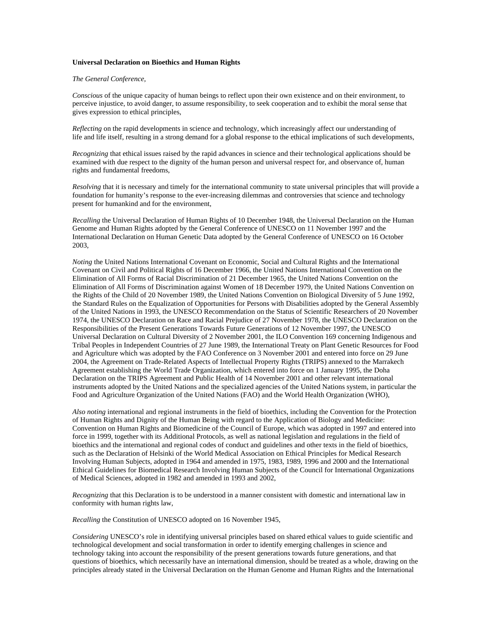### **Universal Declaration on Bioethics and Human Rights**

### *The General Conference,*

*Conscious* of the unique capacity of human beings to reflect upon their own existence and on their environment, to perceive injustice, to avoid danger, to assume responsibility, to seek cooperation and to exhibit the moral sense that gives expression to ethical principles,

*Reflecting* on the rapid developments in science and technology, which increasingly affect our understanding of life and life itself, resulting in a strong demand for a global response to the ethical implications of such developments,

*Recognizing* that ethical issues raised by the rapid advances in science and their technological applications should be examined with due respect to the dignity of the human person and universal respect for, and observance of, human rights and fundamental freedoms,

*Resolving* that it is necessary and timely for the international community to state universal principles that will provide a foundation for humanity's response to the ever-increasing dilemmas and controversies that science and technology present for humankind and for the environment,

*Recalling* the Universal Declaration of Human Rights of 10 December 1948, the Universal Declaration on the Human Genome and Human Rights adopted by the General Conference of UNESCO on 11 November 1997 and the International Declaration on Human Genetic Data adopted by the General Conference of UNESCO on 16 October 2003,

*Noting* the United Nations International Covenant on Economic, Social and Cultural Rights and the International Covenant on Civil and Political Rights of 16 December 1966, the United Nations International Convention on the Elimination of All Forms of Racial Discrimination of 21 December 1965, the United Nations Convention on the Elimination of All Forms of Discrimination against Women of 18 December 1979, the United Nations Convention on the Rights of the Child of 20 November 1989, the United Nations Convention on Biological Diversity of 5 June 1992, the Standard Rules on the Equalization of Opportunities for Persons with Disabilities adopted by the General Assembly of the United Nations in 1993, the UNESCO Recommendation on the Status of Scientific Researchers of 20 November 1974, the UNESCO Declaration on Race and Racial Prejudice of 27 November 1978, the UNESCO Declaration on the Responsibilities of the Present Generations Towards Future Generations of 12 November 1997, the UNESCO Universal Declaration on Cultural Diversity of 2 November 2001, the ILO Convention 169 concerning Indigenous and Tribal Peoples in Independent Countries of 27 June 1989, the International Treaty on Plant Genetic Resources for Food and Agriculture which was adopted by the FAO Conference on 3 November 2001 and entered into force on 29 June 2004, the Agreement on Trade-Related Aspects of Intellectual Property Rights (TRIPS) annexed to the Marrakech Agreement establishing the World Trade Organization, which entered into force on 1 January 1995, the Doha Declaration on the TRIPS Agreement and Public Health of 14 November 2001 and other relevant international instruments adopted by the United Nations and the specialized agencies of the United Nations system, in particular the Food and Agriculture Organization of the United Nations (FAO) and the World Health Organization (WHO),

*Also noting* international and regional instruments in the field of bioethics, including the Convention for the Protection of Human Rights and Dignity of the Human Being with regard to the Application of Biology and Medicine: Convention on Human Rights and Biomedicine of the Council of Europe, which was adopted in 1997 and entered into force in 1999, together with its Additional Protocols, as well as national legislation and regulations in the field of bioethics and the international and regional codes of conduct and guidelines and other texts in the field of bioethics, such as the Declaration of Helsinki of the World Medical Association on Ethical Principles for Medical Research Involving Human Subjects, adopted in 1964 and amended in 1975, 1983, 1989, 1996 and 2000 and the International Ethical Guidelines for Biomedical Research Involving Human Subjects of the Council for International Organizations of Medical Sciences, adopted in 1982 and amended in 1993 and 2002,

*Recognizing* that this Declaration is to be understood in a manner consistent with domestic and international law in conformity with human rights law,

*Recalling* the Constitution of UNESCO adopted on 16 November 1945,

*Considering* UNESCO's role in identifying universal principles based on shared ethical values to guide scientific and technological development and social transformation in order to identify emerging challenges in science and technology taking into account the responsibility of the present generations towards future generations, and that questions of bioethics, which necessarily have an international dimension, should be treated as a whole, drawing on the principles already stated in the Universal Declaration on the Human Genome and Human Rights and the International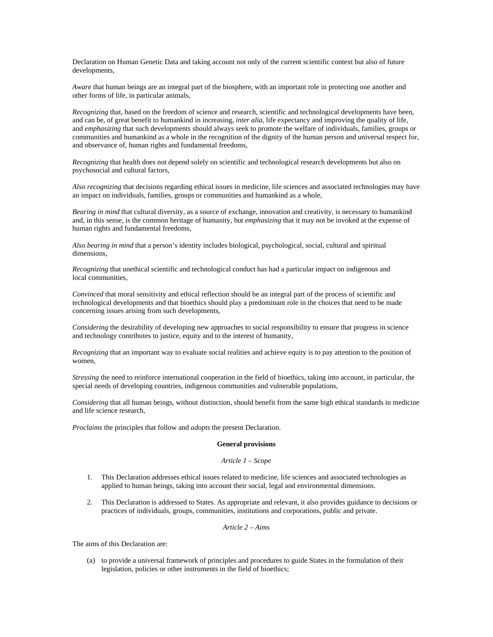Declaration on Human Genetic Data and taking account not only of the current scientific context but also of future developments,

*Aware* that human beings are an integral part of the biosphere, with an important role in protecting one another and other forms of life, in particular animals,

*Recognizing* that, based on the freedom of science and research, scientific and technological developments have been, and can be, of great benefit to humankind in increasing, *inter alia*, life expectancy and improving the quality of life, and *emphasizing* that such developments should always seek to promote the welfare of individuals, families, groups or communities and humankind as a whole in the recognition of the dignity of the human person and universal respect for, and observance of, human rights and fundamental freedoms,

*Recognizing* that health does not depend solely on scientific and technological research developments but also on psychosocial and cultural factors,

*Also recognizing* that decisions regarding ethical issues in medicine, life sciences and associated technologies may have an impact on individuals, families, groups or communities and humankind as a whole,

*Bearing in mind* that cultural diversity, as a source of exchange, innovation and creativity, is necessary to humankind and, in this sense, is the common heritage of humanity, but *emphasizing* that it may not be invoked at the expense of human rights and fundamental freedoms,

*Also bearing in mind* that a person's identity includes biological, psychological, social, cultural and spiritual dimensions,

*Recognizing* that unethical scientific and technological conduct has had a particular impact on indigenous and local communities,

*Convinced* that moral sensitivity and ethical reflection should be an integral part of the process of scientific and technological developments and that bioethics should play a predominant role in the choices that need to be made concerning issues arising from such developments,

*Considering* the desirability of developing new approaches to social responsibility to ensure that progress in science and technology contributes to justice, equity and to the interest of humanity,

*Recognizing* that an important way to evaluate social realities and achieve equity is to pay attention to the position of women,

*Stressing* the need to reinforce international cooperation in the field of bioethics, taking into account, in particular, the special needs of developing countries, indigenous communities and vulnerable populations,

*Considering* that all human beings, without distinction, should benefit from the same high ethical standards in medicine and life science research,

*Proclaims* the principles that follow and *adopts* the present Declaration.

# **General provisions**

# *Article 1 – Scope*

- 1. This Declaration addresses ethical issues related to medicine, life sciences and associated technologies as applied to human beings, taking into account their social, legal and environmental dimensions.
- 2. This Declaration is addressed to States. As appropriate and relevant, it also provides guidance to decisions or practices of individuals, groups, communities, institutions and corporations, public and private.

# *Article 2 – Aims*

The aims of this Declaration are:

(a) to provide a universal framework of principles and procedures to guide States in the formulation of their legislation, policies or other instruments in the field of bioethics;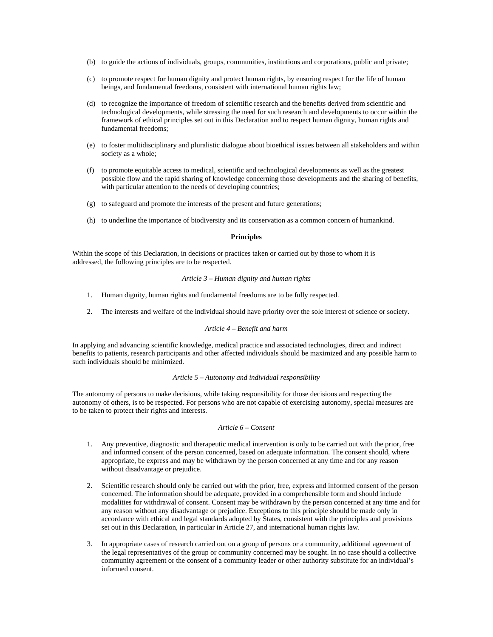- (b) to guide the actions of individuals, groups, communities, institutions and corporations, public and private;
- (c) to promote respect for human dignity and protect human rights, by ensuring respect for the life of human beings, and fundamental freedoms, consistent with international human rights law;
- (d) to recognize the importance of freedom of scientific research and the benefits derived from scientific and technological developments, while stressing the need for such research and developments to occur within the framework of ethical principles set out in this Declaration and to respect human dignity, human rights and fundamental freedoms;
- (e) to foster multidisciplinary and pluralistic dialogue about bioethical issues between all stakeholders and within society as a whole;
- (f) to promote equitable access to medical, scientific and technological developments as well as the greatest possible flow and the rapid sharing of knowledge concerning those developments and the sharing of benefits, with particular attention to the needs of developing countries;
- (g) to safeguard and promote the interests of the present and future generations;
- (h) to underline the importance of biodiversity and its conservation as a common concern of humankind.

### **Principles**

Within the scope of this Declaration, in decisions or practices taken or carried out by those to whom it is addressed, the following principles are to be respected.

# *Article 3 – Human dignity and human rights*

- 1. Human dignity, human rights and fundamental freedoms are to be fully respected.
- 2. The interests and welfare of the individual should have priority over the sole interest of science or society.

### *Article 4 – Benefit and harm*

In applying and advancing scientific knowledge, medical practice and associated technologies, direct and indirect benefits to patients, research participants and other affected individuals should be maximized and any possible harm to such individuals should be minimized.

#### *Article 5 – Autonomy and individual responsibility*

The autonomy of persons to make decisions, while taking responsibility for those decisions and respecting the autonomy of others, is to be respected. For persons who are not capable of exercising autonomy, special measures are to be taken to protect their rights and interests.

### *Article 6 – Consent*

- 1. Any preventive, diagnostic and therapeutic medical intervention is only to be carried out with the prior, free and informed consent of the person concerned, based on adequate information. The consent should, where appropriate, be express and may be withdrawn by the person concerned at any time and for any reason without disadvantage or prejudice.
- 2. Scientific research should only be carried out with the prior, free, express and informed consent of the person concerned. The information should be adequate, provided in a comprehensible form and should include modalities for withdrawal of consent. Consent may be withdrawn by the person concerned at any time and for any reason without any disadvantage or prejudice. Exceptions to this principle should be made only in accordance with ethical and legal standards adopted by States, consistent with the principles and provisions set out in this Declaration, in particular in Article 27, and international human rights law.
- 3. In appropriate cases of research carried out on a group of persons or a community, additional agreement of the legal representatives of the group or community concerned may be sought. In no case should a collective community agreement or the consent of a community leader or other authority substitute for an individual's informed consent.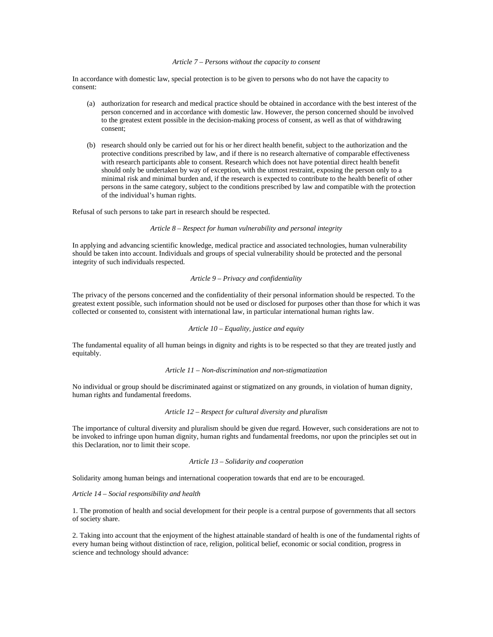#### *Article 7 – Persons without the capacity to consent*

In accordance with domestic law, special protection is to be given to persons who do not have the capacity to consent:

- (a) authorization for research and medical practice should be obtained in accordance with the best interest of the person concerned and in accordance with domestic law. However, the person concerned should be involved to the greatest extent possible in the decision-making process of consent, as well as that of withdrawing consent;
- (b) research should only be carried out for his or her direct health benefit, subject to the authorization and the protective conditions prescribed by law, and if there is no research alternative of comparable effectiveness with research participants able to consent. Research which does not have potential direct health benefit should only be undertaken by way of exception, with the utmost restraint, exposing the person only to a minimal risk and minimal burden and, if the research is expected to contribute to the health benefit of other persons in the same category, subject to the conditions prescribed by law and compatible with the protection of the individual's human rights.

Refusal of such persons to take part in research should be respected.

*Article 8 – Respect for human vulnerability and personal integrity* 

In applying and advancing scientific knowledge, medical practice and associated technologies, human vulnerability should be taken into account. Individuals and groups of special vulnerability should be protected and the personal integrity of such individuals respected.

# *Article 9 – Privacy and confidentiality*

The privacy of the persons concerned and the confidentiality of their personal information should be respected. To the greatest extent possible, such information should not be used or disclosed for purposes other than those for which it was collected or consented to, consistent with international law, in particular international human rights law.

# *Article 10 – Equality, justice and equity*

The fundamental equality of all human beings in dignity and rights is to be respected so that they are treated justly and equitably.

#### *Article 11 – Non-discrimination and non-stigmatization*

No individual or group should be discriminated against or stigmatized on any grounds, in violation of human dignity, human rights and fundamental freedoms.

# *Article 12 – Respect for cultural diversity and pluralism*

The importance of cultural diversity and pluralism should be given due regard. However, such considerations are not to be invoked to infringe upon human dignity, human rights and fundamental freedoms, nor upon the principles set out in this Declaration, nor to limit their scope.

### *Article 13 – Solidarity and cooperation*

Solidarity among human beings and international cooperation towards that end are to be encouraged.

### *Article 14 – Social responsibility and health*

1. The promotion of health and social development for their people is a central purpose of governments that all sectors of society share.

2. Taking into account that the enjoyment of the highest attainable standard of health is one of the fundamental rights of every human being without distinction of race, religion, political belief, economic or social condition, progress in science and technology should advance: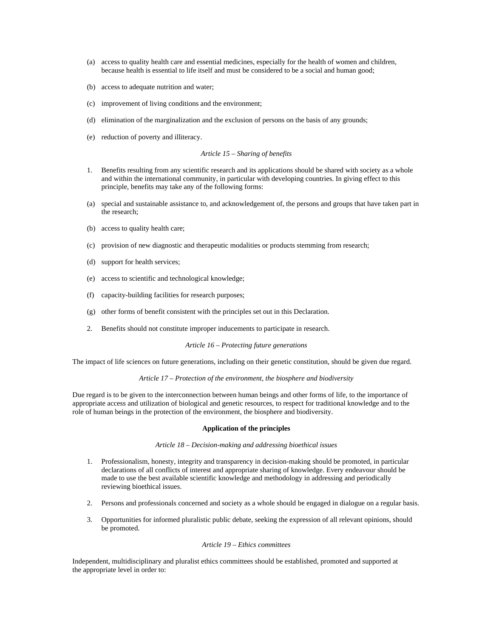- (a) access to quality health care and essential medicines, especially for the health of women and children, because health is essential to life itself and must be considered to be a social and human good;
- (b) access to adequate nutrition and water;
- (c) improvement of living conditions and the environment;
- (d) elimination of the marginalization and the exclusion of persons on the basis of any grounds;
- (e) reduction of poverty and illiteracy.

## *Article 15 – Sharing of benefits*

- 1. Benefits resulting from any scientific research and its applications should be shared with society as a whole and within the international community, in particular with developing countries. In giving effect to this principle, benefits may take any of the following forms:
- (a) special and sustainable assistance to, and acknowledgement of, the persons and groups that have taken part in the research;
- (b) access to quality health care;
- (c) provision of new diagnostic and therapeutic modalities or products stemming from research;
- (d) support for health services;
- (e) access to scientific and technological knowledge;
- (f) capacity-building facilities for research purposes;
- (g) other forms of benefit consistent with the principles set out in this Declaration.
- 2. Benefits should not constitute improper inducements to participate in research.

#### *Article 16 – Protecting future generations*

The impact of life sciences on future generations, including on their genetic constitution, should be given due regard.

#### *Article 17 – Protection of the environment, the biosphere and biodiversity*

Due regard is to be given to the interconnection between human beings and other forms of life, to the importance of appropriate access and utilization of biological and genetic resources, to respect for traditional knowledge and to the role of human beings in the protection of the environment, the biosphere and biodiversity.

# **Application of the principles**

### *Article 18 – Decision-making and addressing bioethical issues*

- 1. Professionalism, honesty, integrity and transparency in decision-making should be promoted, in particular declarations of all conflicts of interest and appropriate sharing of knowledge. Every endeavour should be made to use the best available scientific knowledge and methodology in addressing and periodically reviewing bioethical issues.
- 2. Persons and professionals concerned and society as a whole should be engaged in dialogue on a regular basis.
- 3. Opportunities for informed pluralistic public debate, seeking the expression of all relevant opinions, should be promoted.

# *Article 19 – Ethics committees*

Independent, multidisciplinary and pluralist ethics committees should be established, promoted and supported at the appropriate level in order to: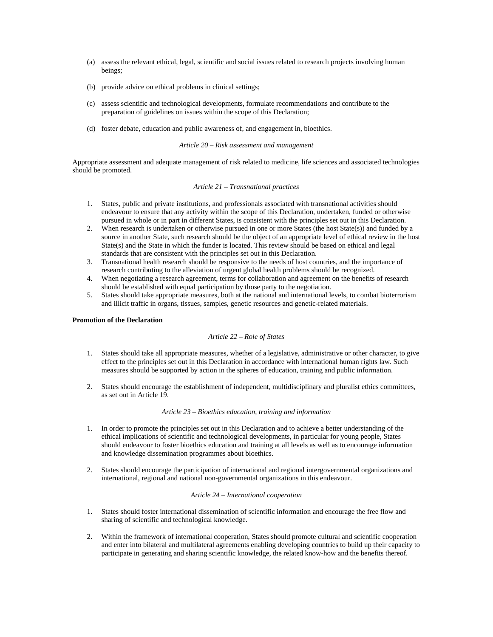- (a) assess the relevant ethical, legal, scientific and social issues related to research projects involving human beings;
- (b) provide advice on ethical problems in clinical settings;
- (c) assess scientific and technological developments, formulate recommendations and contribute to the preparation of guidelines on issues within the scope of this Declaration;
- (d) foster debate, education and public awareness of, and engagement in, bioethics.

#### *Article 20 – Risk assessment and management*

Appropriate assessment and adequate management of risk related to medicine, life sciences and associated technologies should be promoted.

# *Article 21 – Transnational practices*

- 1. States, public and private institutions, and professionals associated with transnational activities should endeavour to ensure that any activity within the scope of this Declaration, undertaken, funded or otherwise pursued in whole or in part in different States, is consistent with the principles set out in this Declaration.
- 2. When research is undertaken or otherwise pursued in one or more States (the host State(s)) and funded by a source in another State, such research should be the object of an appropriate level of ethical review in the host State(s) and the State in which the funder is located. This review should be based on ethical and legal standards that are consistent with the principles set out in this Declaration.
- 3. Transnational health research should be responsive to the needs of host countries, and the importance of research contributing to the alleviation of urgent global health problems should be recognized.
- 4. When negotiating a research agreement, terms for collaboration and agreement on the benefits of research should be established with equal participation by those party to the negotiation.
- 5. States should take appropriate measures, both at the national and international levels, to combat bioterrorism and illicit traffic in organs, tissues, samples, genetic resources and genetic-related materials.

#### **Promotion of the Declaration**

#### *Article 22 – Role of States*

- 1. States should take all appropriate measures, whether of a legislative, administrative or other character, to give effect to the principles set out in this Declaration in accordance with international human rights law. Such measures should be supported by action in the spheres of education, training and public information.
- 2. States should encourage the establishment of independent, multidisciplinary and pluralist ethics committees, as set out in Article 19.

#### *Article 23 – Bioethics education, training and information*

- 1. In order to promote the principles set out in this Declaration and to achieve a better understanding of the ethical implications of scientific and technological developments, in particular for young people, States should endeavour to foster bioethics education and training at all levels as well as to encourage information and knowledge dissemination programmes about bioethics.
- 2. States should encourage the participation of international and regional intergovernmental organizations and international, regional and national non-governmental organizations in this endeavour.

## *Article 24 – International cooperation*

- 1. States should foster international dissemination of scientific information and encourage the free flow and sharing of scientific and technological knowledge.
- 2. Within the framework of international cooperation, States should promote cultural and scientific cooperation and enter into bilateral and multilateral agreements enabling developing countries to build up their capacity to participate in generating and sharing scientific knowledge, the related know-how and the benefits thereof.